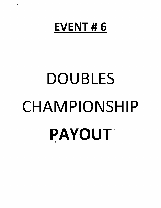

 $\label{eq:4} \bullet \rightarrow \mathbb{R}^3 \times \mathbb{R}^4$ 

# DOUBLES CHAMPIONSHIP PAYOUT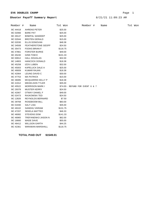# **EV6 DOUBLES CHAMP** Page 1

# **Shooter Payoff Summary Report**

# 8/21/21 11:09:23 AM

| Member # | Name                      | Tot Won  |                                 | Member # | Name | Tot Won |  |
|----------|---------------------------|----------|---------------------------------|----------|------|---------|--|
| BC 44418 | <b>AHRENS PETER</b>       | \$25.00  |                                 |          |      |         |  |
| BC 02066 | <b>BARE PAT</b>           | \$25.00  |                                 |          |      |         |  |
| BC 49147 | <b>BINEPAL SANDEEP</b>    | \$25.00  |                                 |          |      |         |  |
| BC 02044 | <b>BROTEN GERALD</b>      | \$15.00  |                                 |          |      |         |  |
| BC 02030 | ELLIS DONOVAN             | \$48.38  |                                 |          |      |         |  |
| BC 34508 | FEATHERSTONE GEOFF        | \$24.50  |                                 |          |      |         |  |
| BC 35473 | <b>FOOKS BRIAN F</b>      | \$116.75 |                                 |          |      |         |  |
| BC 47861 | <b>FORSTER BURKE</b>      | \$49.00  |                                 |          |      |         |  |
| BC 45240 | <b>GINN TOM E</b>         | \$101.33 |                                 |          |      |         |  |
| BC 00912 | <b>HALL DOUGLAS</b>       | \$32.00  |                                 |          |      |         |  |
| BC 14803 | <b>HANCOCK DONALD</b>     | \$18.38  |                                 |          |      |         |  |
| BC 45258 | <b>IZOV LUBEN</b>         | \$32.00  |                                 |          |      |         |  |
| BC 45003 | KAPELUCK DALE A           | \$25.00  |                                 |          |      |         |  |
| BC 49009 | <b>KUMAR RAJAN</b>        | \$18.38  |                                 |          |      |         |  |
| BC 42064 | LEUNG DAVID C             | \$30.00  |                                 |          |      |         |  |
| BC 47753 | <b>MA PATRICK</b>         | \$15.00  |                                 |          |      |         |  |
| BC 36085 | MCQUARRIE KELLY P         | \$18.38  |                                 |          |      |         |  |
| BC 41912 | <b>MIKKELSON TYLER</b>    | \$35.00  |                                 |          |      |         |  |
| BC 45522 | <b>MORRISON MARK I</b>    |          | \$74.00- REFUND FOR EVENT 6 & 7 |          |      |         |  |
| BC 29378 | <b>MUSTER KERRY</b>       | \$24.50  |                                 |          |      |         |  |
| BC 42067 | OTWAY DANIEL F            | \$49.00  |                                 |          |      |         |  |
| BC 02473 | RAJKOWSKI TED             | \$24.50  |                                 |          |      |         |  |
| BC 12826 | REYNOLDS BERNARD          | \$7.50   |                                 |          |      |         |  |
| BC 39768 | <b>ROSEBOOM BILL</b>      | \$83.00  |                                 |          |      |         |  |
| BC 01930 | <b>SALT LISA</b>          | \$35.00  |                                 |          |      |         |  |
| BC 49102 | SANDHU VIKRAM             | \$131.75 |                                 |          |      |         |  |
| BC 47207 | <b>SEKELA MATTEO</b>      | \$46.33  |                                 |          |      |         |  |
| BC 46082 | <b>STEVENS DOM</b>        | \$141.33 |                                 |          |      |         |  |
| BC 46965 | <b>TREFANENKO JASON N</b> | \$62.00  |                                 |          |      |         |  |
| BC 16660 | WADE DAVE                 | \$55.00  |                                 |          |      |         |  |
| BC 46412 | <b>WILLSON GARTH</b>      | \$44.25  |                                 |          |      |         |  |
| BC 42361 | <b>WIRAWAN MARSHALL</b>   | \$116.75 |                                 |          |      |         |  |

**TOTAL PAID OUT \$1549.01**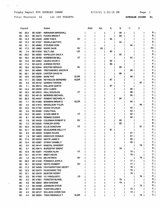$\mathcal{L}(\mathcal{A})$ 

 $\ddot{\phantom{a}}$ 

 $\ddot{\phantom{a}}$ 

Total Shooters 62 1st 100 TARGETS

AVERAGE SCORE 81

|           | Squad |                 | Name                        |             | AAA | AA | A  | В  | с               | D  |    |
|-----------|-------|-----------------|-----------------------------|-------------|-----|----|----|----|-----------------|----|----|
| ВC        | 20.4  | BC 42361        | <b>WIRAWAN MARSHALL</b>     |             |     |    |    | 95 |                 |    | в  |
| <b>BC</b> | 16.4  | <b>BC 35473</b> | <b>FOOKS BRIAN F</b>        |             |     |    |    | 95 |                 |    | в  |
| BC        | 14.3  | <b>BC 45240</b> | <b>GINN TOM E</b>           | SV          |     |    | 94 |    |                 |    | Α  |
| BC        | 13.3  | <b>BC 47207</b> | <b>SEKELA MATTEO</b>        |             |     |    |    | 94 |                 |    | в  |
| BC        | 12.1  | BC 46082        | <b>STEVENS DOM</b>          |             |     |    |    |    | 94              |    | с  |
| <b>BC</b> | 17.2  | BC 16660        | <b>WADE DAVE</b>            | sv          |     | 93 |    |    |                 |    | AΑ |
| BC        | 7.4   | <b>BC 01930</b> | <b>SALT LISA</b>            | LDI         |     |    | 93 |    |                 |    | A  |
| BC        | 20.2  | <b>BC 45003</b> | <b>KAPELUCK DALE A</b>      |             |     |    |    | 92 |                 |    | в  |
| BC        | 16.3  | <b>BC 39768</b> | <b>ROSEBOOM BILL</b>        | VТ          |     |    |    |    | 91              |    | С  |
| BC        | 14.2  | <b>BC 42064</b> | LEUNG DAVID C               |             |     |    | 90 |    |                 |    | A  |
| BC        | 17.4  | <b>BC 44418</b> | <b>AHRENS PETER</b>         |             |     |    | 89 |    |                 |    | Α  |
| BC        | 16.2  | <b>BC 02044</b> | <b>BROTEN GERALD</b>        | EL          |     |    |    | 89 |                 |    | в  |
| <b>BC</b> | 10.4  | <b>BC 46965</b> | <b>TREFANENKO JASON N</b>   |             |     |    |    |    | 89              |    | С  |
| <b>BC</b> | 20.1  | <b>BC 40239</b> | <b>CARTER DAVID W</b>       |             |     |    |    | 88 |                 |    | в  |
| <b>BC</b> | 10.5  | <b>BC 02066</b> | <b>BARE PAT</b>             | <b>ELDR</b> |     |    |    |    | 88              |    | c  |
| BC        | 17.1  | <b>BC 12826</b> | <b>REYNOLDS BERNARD</b>     | <b>ELDR</b> |     |    | 87 |    |                 |    | Α  |
| BC        | 3.3   | <b>BC 49102</b> | <b>SANDHU VIKRAM</b>        |             |     |    |    |    |                 | 87 | D  |
| BC        | 1.1   | BC 46412        | <b>WILLSON GARTH</b>        |             |     |    | 87 |    |                 |    | A  |
| BC        | 14.4  | <b>BC 45258</b> | <b>IZOV LUBEN</b>           |             |     |    |    |    | 86              |    | С  |
| BC        | 10.3  | <b>BC 00912</b> | <b>HALL DOUGLAS</b>         | VТ          |     |    |    |    | 86              |    | С  |
| BC        | 10.2  | BC 48119        | <b>MORRISS MICHAEL</b>      |             |     |    |    |    | 85              |    | с  |
| BC        | 20.3  | <b>BC 44437</b> | <b>RAMSAY MICHAEL H</b>     |             |     |    |    | 84 |                 |    | в  |
| <b>BC</b> | 7.1   | <b>BC 01260</b> | <b>BOWMAN BRIAN G</b>       | <b>ELDR</b> |     |    |    |    | 84              |    | с  |
| BC        | 4.4   | <b>BC 41912</b> | <b>MIKKELSON TYLER</b>      |             |     |    |    |    |                 | 84 | D  |
| BC        | 12.5  | <b>BC 47782</b> | <b>WANG CHUNLEI</b>         |             |     |    |    |    | 83              |    | с  |
| BC        | 5.4   | <b>BC 02484</b> | <b>CHAU PAUL</b>            |             |     |    |    |    | 83              |    | с  |
| <b>BC</b> | 12.2  | <b>BC 42051</b> | <b>STARK MIKE R</b>         | VΤ          |     |    |    |    | 82              |    | С  |
| <b>BC</b> | 8.1   | <b>BC 49349</b> | <b>REMIAS DUSAN</b>         |             |     |    |    |    | 82              |    | с  |
| BC        | 7.5   | <b>BC 35436</b> | <b>COLEMAN ROBERT E</b>     | sv          |     |    |    | 82 |                 |    | в  |
| BC        | 7.2   | <b>BC 02520</b> | <b>FOWLER GORD</b>          |             |     |    |    | 82 |                 |    | в  |
| BC        | 16.5  | <b>BC 02030</b> | ELLIS DONOVAN               | ٧T          |     |    |    |    |                 | 81 | D  |
| BC        | 14.1  | <b>BC 36085</b> | MCQUARRIE KELLY P           |             |     |    | 81 |    |                 |    | A  |
| BC        | 8.5   | <b>BC 49009</b> | <b>KUMAR RAJAN</b>          |             |     |    |    |    | 81              |    | с  |
| BC        | 1.5   | <b>BC 14803</b> | <b>HANCOCK DONALD</b>       |             |     |    |    |    | 81              |    | С  |
| BC        | 17.5  | <b>BC 02532</b> | <b>WHITE JAMIE E</b>        |             |     |    |    |    | 80              |    | с  |
| BC        | 13.4  | <b>BC 42067</b> | OTWAY DANIEL F              |             |     |    |    |    | 80              |    | С  |
| BC        | 5.5   | <b>BC 49147</b> | <b>BINEPAL SANDEEP</b>      |             |     |    |    |    |                 | 79 | D  |
| BC        | 3.1   | <b>BC 49414</b> | <b>BURDEYNY BRENT</b>       |             |     |    |    | 79 |                 |    | B  |
| <b>BC</b> | 14.5  |                 | BC 40291 FADDEN ALAN        | VT          |     |    |    |    | 78              |    | С  |
| <b>BC</b> | 13.1  | <b>BC 47791</b> | <b>BRETI KEVIN</b>          |             |     |    |    |    | 78 I            |    | С  |
| <b>BC</b> | 1.2   | <b>BC 47753</b> | <b>MA PATRICK</b>           | SV          |     |    |    |    |                 | 78 | D  |
| <b>BC</b> | 20.5  | <b>BC 41440</b> | <b>FONSECA JOHN A</b>       |             |     |    |    |    | 77 <sub>1</sub> |    | C  |
| <b>BC</b> | 16.1  |                 | BC 02530 WHITE ROBERT       | <b>SV</b>   |     |    |    |    | 77 <sub>1</sub> |    | c  |
| BC.       | 17.3  |                 | BC 34508 FEATHERSTONE GEOFF |             |     |    |    |    | 76              |    | c  |
| <b>BC</b> | 12.3  |                 | BC 02473 RAJKOWSKI TED      |             |     |    |    |    | 76              |    | c  |
| <b>BC</b> | 10.1  | <b>BC 29378</b> | <b>MUSTER KERRY</b>         |             |     |    |    |    | 76              |    | С  |
| <b>BC</b> | 5.2   |                 | BC 47900 YU YANG(JUDY)      | LD.         |     |    |    |    |                 | 76 | D  |
| <b>BC</b> | 4.2   | <b>BC 47861</b> | <b>FORSTER BURKE</b>        |             |     |    |    | 75 |                 |    | в  |
| <b>BC</b> | 3.5   |                 | BC 46832 MOH BASSAM         |             |     |    |    | 74 |                 |    | в  |
| BC        | 1.4   | <b>BC 44488</b> | <b>JOHNSON STEVE</b>        |             |     |    |    |    |                 | 73 | D  |
| <b>BC</b> | 5.1   |                 | BC 02483 YUEN WILLIAM K     |             |     |    |    |    | $72$            |    | C. |
| <b>BC</b> | 4.3   |                 | BC 48127 WILLSON CHRISTIAN  |             |     |    |    |    | $72$            |    | C. |
| <b>BC</b> | 3.4   |                 | BC 36284 TODD REGINALD T    | <b>ELDR</b> |     |    |    |    |                 | 72 | D. |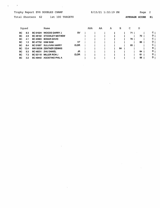$\mathcal{L}^{\text{max}}_{\text{max}}$  .

 $\ddot{\phantom{0}}$ 

Total Shooters 62 1st 100 TARGETS

 $\mathcal{A}$ 

 $\mathcal{L}^{\mathcal{L}}$ 

AVERAGE SCORE 81

|     | Squad |                 | Name                    |             | AAA | AA | А | в  | С  | D  |    |
|-----|-------|-----------------|-------------------------|-------------|-----|----|---|----|----|----|----|
| BC. | 8.3   | <b>BC 01024</b> | <b>WOODS GARRY J</b>    | sv          |     |    |   |    | 71 |    | C. |
| BC. | 4.5   | <b>BC 48182</b> | <b>STOCKLEY MATHEW</b>  |             |     |    |   |    |    | 70 | D  |
| BC. | 4.1   | <b>BC 40983</b> | <b>BONAR DAVID</b>      |             |     |    |   |    | 70 |    | C  |
| BC. | 1.3   | <b>BC 47752</b> | <b>KAM SAM</b>          | VΤ          |     |    |   |    |    | 66 | D  |
| BC. | 8.4   | <b>BC 01957</b> | <b>SULLIVAN HARRY</b>   | <b>ELDR</b> |     |    |   |    | 65 |    | C. |
| BC. | 12.4  |                 | NW 00036 ZENTNER DENNIS |             |     |    |   | 64 |    |    | в  |
| BC. | 5.3   | <b>BC 48231</b> | <b>ZHU DANIEL</b>       | JR          |     |    |   |    |    | 64 | D  |
| BC. | 7.3   | <b>BC 02118</b> | <b>MILLER RON J</b>     | <b>ELDR</b> |     |    |   |    |    | 61 | D  |
| BС  | 3.2   | <b>BC 49442</b> | <b>AGOSTINO PHIL A</b>  |             |     |    |   |    |    | 56 | D  |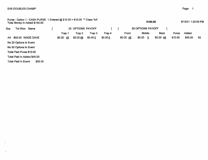$\ddot{\phantom{a}}$ 

 $\bullet$ 

| Purse - Option 1 - CASH PURSE 1 Entered @ \$10.00 = \$10.00 ** Class 'AA'<br>Total Money In Added \$150.00 |         |          |                   |         |         |           | \$160.00                          |             |         | 8/15/21 1:29:09 PM |    |
|------------------------------------------------------------------------------------------------------------|---------|----------|-------------------|---------|---------|-----------|-----------------------------------|-------------|---------|--------------------|----|
| Grp<br>Tot Won<br>Name                                                                                     |         |          | 25 OPTIONS PAYOFF |         |         |           | 50 OPTIONS PAYOFF                 |             |         |                    |    |
|                                                                                                            |         | Trap 1   | Trap 2            | Trap 3  | Trap 4  | Front     | Middle                            | <b>Back</b> | Purse   | Added              |    |
| AA \$55.00 WADE DAVE                                                                                       |         | \$0.0045 | \$0.0048          | \$0.000 | \$0.000 | \$0.00 45 | \$0.00<br>$\overline{\mathbf{0}}$ | \$0.0048    | \$10.00 | \$45.00            | 93 |
| No 25 Options In Event                                                                                     |         |          |                   |         |         |           |                                   |             |         |                    |    |
| No 50 Options In Event                                                                                     |         |          |                   |         |         |           |                                   |             |         |                    |    |
| Total Paid Purse \$10.00                                                                                   |         |          |                   |         |         |           |                                   |             |         |                    |    |
| Total Paid In Added \$45.00                                                                                |         |          |                   |         |         |           |                                   |             |         |                    |    |
| Total Paid In Event:                                                                                       | \$55.00 |          |                   |         |         |           |                                   |             |         |                    |    |

 $\mathcal{L}^{\text{max}}_{\text{max}}$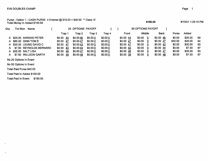Purse - Option 1 - CASH PURSE 4 Entered \$10.00 = \$40.00 \*\* Class'A' Total Money In Added \$150.00

| <b>Grp</b> | Tot Won | Name                    |            |      | 25 OPTIONS PAYOFF |         |         |           |       | 50 OPTIONS PAYOFF |             |              |         |     |
|------------|---------|-------------------------|------------|------|-------------------|---------|---------|-----------|-------|-------------------|-------------|--------------|---------|-----|
|            |         |                         | Trap 1     |      | Trap 2            | Trap 3  | Trap 4  |           | Front | Middle            | <b>Back</b> | <b>Purse</b> | Added   |     |
| A          |         | \$25.00 AHRENS PETER    | \$0.00     | - 43 | \$0.0046          | \$0.000 | \$0.000 | \$0.0043  |       | \$0.00<br>0       | \$0.0046    | \$0.00       | \$25.00 | 89  |
| A.         |         | \$85.00 GINN TOM E      | \$0.00     | -47  | \$0.0047          | \$0.000 | \$0.000 | \$0.00 47 |       | \$0.00<br>0       | \$0.00 47   | \$40.00      | \$45.00 | 94  |
|            |         | A \$30.00 LEUNG DAVID C | $$0.00$ 47 |      | \$0.0043          | \$0.000 | \$0.000 | \$0.00 47 |       | \$0.00<br>0       | \$0.00 43   | \$0.00       | \$30.00 | 90  |
| A          |         | \$7.50 REYNOLDS BERNARD | \$0.00     | -43  | \$0.0044          | \$0.000 | \$0.000 | \$0.0043  |       | \$0.00<br>0       | \$0.0044    | \$0.00       | \$7.50  | 87  |
| A          |         | \$35.00 SALT LISA       | \$0.00     | -46  | \$0.00 47         | \$0.000 | \$0.000 | \$0.0046  |       | \$0.00<br>0       | \$0.00 47   | \$0.00       | \$35.00 | 93  |
| А          |         | \$7.50 WILLSON GARTH    | \$0.00     | 39   | \$0.0048          | \$0.000 | \$0.000 | \$0.0039  |       | \$0.00<br>0       | \$0.00 48   | \$0.00       | \$7.50  | -87 |

No 25 Options In Event

No 50 Options In Event

 $\sim$ 

 $\ddot{\phantom{a}}$ 

 $\overline{\phantom{a}}$ 

Total Paid Purse \$40.00

Total Paid In Added \$150.00

Total Paid In Event: \$190.00

\$190.00

8/15/21 1:29:10 PM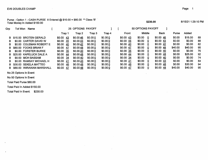Purse - Option 1 - CASH PURSE 8 Entered @ \$10.00 = \$80.00 Total Money In Added \$150.00 Class 'B'

| Grp | Tot Won | Name                     |               |     | 25 OPTIONS PAYOFF |         |         |  |           | 50 OPTIONS PAYOFF |        |           |              |         |     |
|-----|---------|--------------------------|---------------|-----|-------------------|---------|---------|--|-----------|-------------------|--------|-----------|--------------|---------|-----|
|     |         |                          | Trao 1        |     | Trap 2            | Trap 3  | Trap 4  |  | Front     |                   | Middle | Back      | <b>Purse</b> | Added   |     |
|     |         | B \$15.00 BROTEN GERALD  | \$0.00<br>-43 |     | \$0.0046          | \$0.000 | \$0.000 |  | \$0.0043  | \$0.00            | 0      | \$0.0046  | \$0.00       | \$15.00 | -89 |
| в   |         | \$0.00 CARTER DAVID W    | \$0.00<br>-45 |     | \$0.0043          | \$0.000 | \$0.000 |  | \$0.0045  | \$0.00            | 0      | \$0.0043  | \$0.00       | \$0.00  | 88  |
| в.  |         | \$0.00 COLEMAN ROBERT E  | \$0.00<br>-40 |     | \$0.0042          | \$0.000 | \$0.000 |  | \$0.0040  | \$0.00            | 0      | \$0.0042  | \$0.00       | \$0.00  | 82  |
|     |         | B \$80.00 FOOKS BRIAN F  | \$0.00        | 47  | \$0.0048          | \$0.000 | \$0.000 |  | \$0.00 47 | \$0.00            | 0      | \$0.0048  | \$40.00      | \$40.00 | 95  |
| в.  |         | \$0.00 FORSTER BURKE     | \$0.00        | -35 | \$0.0040          | \$0.000 | \$0.000 |  | \$0.00 35 | \$0.00            | 0      | \$0.0040  | \$0.00       | \$0.00  | 75  |
| В.  |         | \$25.00 KAPELUCK DALE A  | \$0.00        | 44  | \$0.0048          | \$0.000 | \$0.000 |  | \$0.0044  | \$0.00            | -0     | \$0.0048  | \$0.00       | \$25.00 | 92  |
| в   |         | \$0.00 MOH BASSAM        | \$0.00 34     |     | \$0.0040          | \$0.000 | \$0.000 |  | \$0.0034  | \$0.00            |        | \$0.0040  | \$0.00       | \$0.00  | 74  |
| в   |         | \$0.00 RAMSAY MICHAEL H  | \$0.00<br>-41 |     | \$0.0043          | \$0.000 | \$0.000 |  | \$0.0041  | \$0.00            | 0      | \$0.0043  | \$0.00       | \$0.00  | 84  |
| B.  |         | \$30.00 SEKELA MATTEO    | \$0.0046      |     | \$0.0048          | \$0.000 | \$0.000 |  | \$0.0046  | \$0.00            |        | \$0.00 48 | \$0.00       | \$30.00 | 94  |
| В.  |         | \$80.00 WIRAWAN MARSHALL | \$0.0047      |     | \$0.0048          | \$0.000 | \$0.000 |  | \$0.00 47 | \$0.00            |        | \$0.0048  | \$40.00      | \$40.00 | 95  |

No 25 Options In Event

No 50 Options In Event

Total Paid Purse \$80.00

Total Paid In Added \$150.00

Total Paid In Event: \$230.00

8/15/21 1:29:10 PM

\$230.00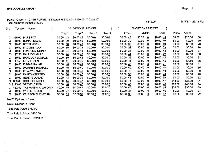Purse - Option 1 - CASH PURSE 16 Entered @  $$10.00 = $16.00 \text{ m}$   $\degree$  Class 'C' Total Money In Added \$150.00

| Grp | Tot Won | Name                      |                     |     | 25 OPTIONS PAYOFF |         |         |                        |       | 50 OPTIONS PAYOFF |              |                           |         |         |    |
|-----|---------|---------------------------|---------------------|-----|-------------------|---------|---------|------------------------|-------|-------------------|--------------|---------------------------|---------|---------|----|
|     |         |                           | Trap 1              |     | Trap 2            | Trap 3  | Trap 4  |                        | Front | Middle            |              | <b>Back</b>               | Purse   | Added   |    |
|     |         | \$25.00 BARE PAT          | \$0.00<br><u>43</u> |     | \$0.0045          | \$0.000 | \$0.000 | \$0.0043               |       | \$0.00            | $\mathbf{0}$ | $$0.00 \; 45$             | \$0.00  | \$25.00 | 88 |
|     |         | \$0.00 BONAR DAVID        | \$0.00<br>30        |     | \$0.0040          | \$0.000 | \$0.000 | \$0.00 30              |       | \$0.00            | 0            | \$0.0040                  | \$0.00  | \$0.00  | 70 |
| C   |         | \$0.00 BRETI KEVIN        | <u>38</u><br>\$0.00 |     | \$0.0040          | \$0.000 | \$0.000 | $$0.00$ 38             |       | \$0.00            | 0            | $$0.00\frac{40}{ }$       | \$0.00  | \$0.00  | 78 |
| C   |         | \$0.00 FADDEN ALAN        | \$0.00<br>39        |     | \$0.00 39         | \$0.000 | \$0.000 | $$0.00$ 39             |       | \$0.00            | 0            | $$0.00$ 39                | \$0.00  | \$0.00  | 78 |
| C   |         | \$0.00 FONSECA JOHN A     | \$0.00<br>34        |     | \$0.0043          | \$0.000 | \$0.000 | $$0.00$ 34             |       | \$0.00            | 0            | \$0.0043                  | \$0.00  | \$0.00  | 77 |
|     |         | \$7.50 HALL DOUGLAS       | \$0.00<br>44        |     | \$0.0042          | \$0.000 | \$0.000 | $$0.00 \; 44$          |       | \$0.00            | 0            | $$0.00 \; 42$             | \$0.00  | \$7.50  | 86 |
| C   |         | \$0.00 HANCOCK DONALD     | \$0.00<br>39        |     | \$0.0042          | \$0.000 | \$0.000 | \$0.00 39              |       | \$0.00            |              | $$0.00 \; \underline{42}$ | \$0.00  | \$0.00  | 81 |
| C   |         | \$7.50 IZOV LUBEN         | \$0.00<br>41        |     | \$0.0045          | \$0.000 | \$0.000 | \$0.0041               |       | \$0.00            |              | $$0.00 \; 45$             | \$0.00  | \$7.50  | 86 |
| C   |         | \$0.00 KUMAR RAJAN        | \$0.00<br>40        |     | \$0.0041          | \$0.000 | \$0.000 | $$0.00 \underline{40}$ |       | \$0.00            |              | $$0.00$ 41                | \$0.00  | \$0.00  | 81 |
| C   |         | \$0.00 MORRISS MICHAEL    | \$0.00<br>45        |     | \$0.00 40         | \$0.000 | \$0.000 | \$0.0045               |       | \$0.00            |              | $$0.00 \underline{40}$    | \$0.00  | \$0.00  | 85 |
| C   |         | \$0.00 OTWAY DANIEL F     | \$0.00              | 40  | \$0.0040          | \$0.000 | \$0.000 | \$0.0040               |       | \$0.00            |              | $$0.00 \underline{40}$    | \$0.00  | \$0.00  | 80 |
| C   |         | \$0.00 RAJKOWSKI TED      | \$0.00<br>36        |     | \$0.00 40         | \$0.000 | \$0.000 | \$0.00 36              |       | \$0.00            |              | $$0.00 \underline{40}$    | \$0.00  | \$0.00  | 76 |
|     |         | \$0.00 REMIAS DUSAN       | \$0.00<br><u>43</u> |     | \$0.0039          | \$0.000 | \$0.000 | $$0.00 \; 43$          |       | \$0.00            | 0            | $$0.00$ 39                | \$0.00  | \$0.00  | 82 |
|     |         | \$83.00 ROSEBOOM BILL     | \$0.00<br>-44       |     | \$0.00 47         | \$0.000 | \$0.000 | \$0.0044               |       | \$0.00            |              | $$0.00$ 47                | \$48.00 | \$35.00 | 91 |
|     |         | C \$125.00 STEVENS DOM    | \$0.00<br>46        |     | \$0.0048          | \$0.000 | \$0.000 | $$0.00 \underline{46}$ |       | \$0.00            |              | \$0.0048                  | \$80.00 | \$45.00 | 94 |
|     | \$62.00 | <b>TREFANENKO JASON N</b> | \$0.00<br><u>45</u> |     | \$0.0044          | \$0.000 | \$0.000 | \$0.0045               |       | \$0.00            |              | \$0.00 44                 | \$32.00 | \$30.00 | 89 |
|     |         | \$0.00 WHITE ROBERT       | \$0.00<br>37        |     | \$0.00 40         | \$0.000 | \$0.000 | \$0.00 37              |       | \$0.00            |              | $$0.00 \underline{40}$    | \$0.00  | \$0.00  | 77 |
| C   |         | \$0.00 WILLSON CHRISTIAN  | \$0.00              | -35 | \$0.0037          | \$0.000 | \$0.000 | \$0.00 35              |       | \$0.00            |              | \$0.00 37                 | \$0.00  | \$0.00  | 72 |

No 25 Options In Event

No 50 Options In Event

Total Paid Purse \$160.00

 $\Delta$ 

Total Paid In Added \$150.00

Total Paid In Event: \$310.00

\$310.00 8/15/21 1:29:11 PM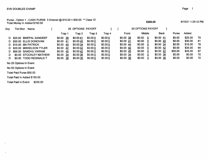Purse - Option 1 - CASH PURSE 5 Entered Total Money In Added \$150.00 \$10.00 = \$50.00 \*\* Class

 $\sim$ 

| Gro | Tot Won<br>Name           |               | 25 OPTIONS PAYOFF |         |         |                        | 50 OPTIONS PAYOFF |           |              |         |     |
|-----|---------------------------|---------------|-------------------|---------|---------|------------------------|-------------------|-----------|--------------|---------|-----|
|     |                           | Trap 1        | Trap 2            | Trap 3  | Trap 4  | Front                  | Middle            | Back      | <b>Purse</b> | Added   |     |
|     | D \$25.00 BINEPAL SANDEEP | -38<br>\$0.00 | \$0.0041          | \$0.000 | \$0.000 | \$0.00 38              | \$0.00<br>0       | \$0.0041  | \$0.00       | \$25.00 | 79  |
|     | D \$30.00 ELLIS DONOVAN   | \$0.00<br>-41 | \$0.0040          | \$0.000 | \$0.000 | \$0.0041               | \$0.00<br>0       | \$0.0040  | \$0.00       | \$30.00 | -81 |
|     | D \$15.00 MA PATRICK      | \$0.00<br>-44 | \$0.00 34         | \$0.000 | \$0.000 | \$0.0044               | \$0.00<br>0       | \$0.00 34 | \$0.00       | \$15.00 | 78  |
|     | D \$35.00 MIKKELSON TYLER | \$0.00<br>-42 | \$0.0042          | \$0.000 | \$0.000 | $$0.00 \underline{42}$ | \$0.00<br>0       | \$0.00 42 | \$0.00       | \$35.00 | 84  |
|     | D \$95.00 SANDHU VIKRAM   | \$0.00<br>-45 | \$0.0042          | \$0.000 | \$0.000 | \$0.0045               | \$0.00<br>0       | \$0.00 42 | \$50.00      | \$45.00 | -87 |
| D   | \$0.00 STOCKLEY MATHEW    | \$0.00<br>-34 | \$0.00 36         | \$0.000 | \$0.000 | \$0.0034               | \$0.00<br>0       | \$0.00 36 | \$0.00       | \$0.00  | 70  |
|     | \$0.00 TODD REGINALD T    | -36<br>\$0.00 | \$0.0036          | \$0.000 | \$0.000 | \$0.00 36              | \$0.00            | \$0.0036  | \$0.00       | \$0.00  | 72  |

No 25 Options In Event

No 50 Options In Event

Total Paid Purse \$50.00

Total Paid In Added \$150.00

Total Paid In Event: \$200.00

\$200.00 8/15/21 1:29:12 PM

÷.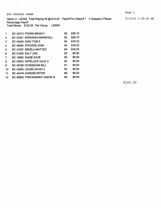EV6 DOUBLES CHAMP

 $\mathcal{L}^{\text{max}}$  and  $\mathcal{L}^{\text{max}}$ 

Option 2 - LEWIS Total Playing 49 @ \$10.00 Payoff For Class # 1 4 Classes 2 Places

 $\ddot{\phantom{a}}$ 

Percentage Payoff

Total Money \$122.50 Per Group LEWIS

| 1  | <b>BC 35473 FOOKS BRIAN F</b>    | 95 | \$36.75 |
|----|----------------------------------|----|---------|
| 2  | <b>BC 42361 WIRAWAN MARSHALL</b> | 95 | \$36.75 |
| 3  | <b>BC 45240 GINN TOM E</b>       | 94 | \$16.33 |
| 4  | BC 46082 STEVENS DOM             | 94 | \$16.33 |
| 5  | BC 47207 SEKELA MATTEO           | 94 | \$16.33 |
| 6  | BC 01930 SALT LISA               | 93 | \$0.00  |
| 7  | BC 16660 WADE DAVE               | 93 | \$0.00  |
| 8  | BC 45003 KAPELUCK DALE A         | 92 | \$0.00  |
| 9  | BC 39768 ROSEBOOM BILL           | 91 | \$0.00  |
| 10 | BC 42064 LEUNG DAVID C           | 90 | \$0.00  |
| 11 | <b>BC 44418 AHRENS PETER</b>     | 89 | \$0.00  |
| 12 | BC 46965 TREFANENKO JASON N      | 89 | \$0.00  |

\$122.50

Page 1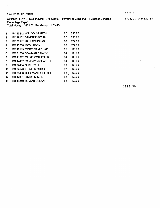$\sim$  10

 $\ddot{\phantom{a}}$ 

Option 2 - LEWIS Total Playing 49 @ \$10.00 Payoff For Class # 2 4 Classes 2 Places

Percentage Payoff Total Money \$122.50 Per Group LEWIS

| 1  | <b>BC 46412 WILLSON GARTH</b> | 87 | \$36.75 |
|----|-------------------------------|----|---------|
| 2  | BC 49102 SANDHU VIKRAM        | 87 | \$36.75 |
| 3  | BC 00912 HALL DOUGLAS         | 86 | \$24.50 |
| 4  | BC 45258 IZOV LUBEN           | 86 | \$24.50 |
| 5  | BC 48119 MORRISS MICHAEL      | 85 | \$0.00  |
| 6  | BC 01260 BOWMAN BRIAN G       | 84 | \$0.00  |
| 7  | BC 41912 MIKKELSON TYLER      | 84 | \$0.00  |
| 8  | BC 44437 RAMSAY MICHAEL H     | 84 | \$0.00  |
| 9  | BC 02484 CHAU PAUL            | 83 | \$0.00  |
| 10 | BC 02520 FOWLER GORD          | 82 | \$0.00  |
| 11 | BC 35436 COLEMAN ROBERT E     | 82 | \$0.00  |
| 12 | BC 42051 STARK MIKE R         | 82 | \$0.00  |
| 13 | BC 49349 REMIAS DUSAN         | 82 | \$0.00  |

\$122.50

Page 1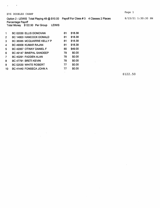$\mathbf{q} = \mathbf{q} \times \mathbf{q}$  ,  $\mathbf{q} \neq \mathbf{q}$ 

Percentage Payoff Total Money \$122.50 Per Group LEWIS

| 1              | BC 02030 ELLIS DONOVAN         | 81 | \$18.38 |
|----------------|--------------------------------|----|---------|
| $\overline{2}$ | BC 14803 HANCOCK DONALD        | 81 | \$18.38 |
| 3              | BC 36085 MCQUARRIE KELLY P     | 81 | \$18.38 |
| 4              | BC 49009 KUMAR RAJAN           | 81 | \$18.38 |
| 5              | BC 42067 OTWAY DANIEL F        | 80 | \$49.00 |
| 6              | BC 49147 BINEPAL SANDEEP       | 79 | \$0.00  |
| 7              | BC 40291 FADDEN ALAN           | 78 | \$0.00  |
| 8              | BC 47791 BRETI KEVIN           | 78 | \$0.00  |
| 9              | BC 02530 WHITE ROBERT          | 77 | \$0.00  |
| 10             | <b>BC 41440 FONSECA JOHN A</b> | 77 | \$0.00  |
|                |                                |    |         |

\$122.50

 $\hat{\boldsymbol{\beta}}$